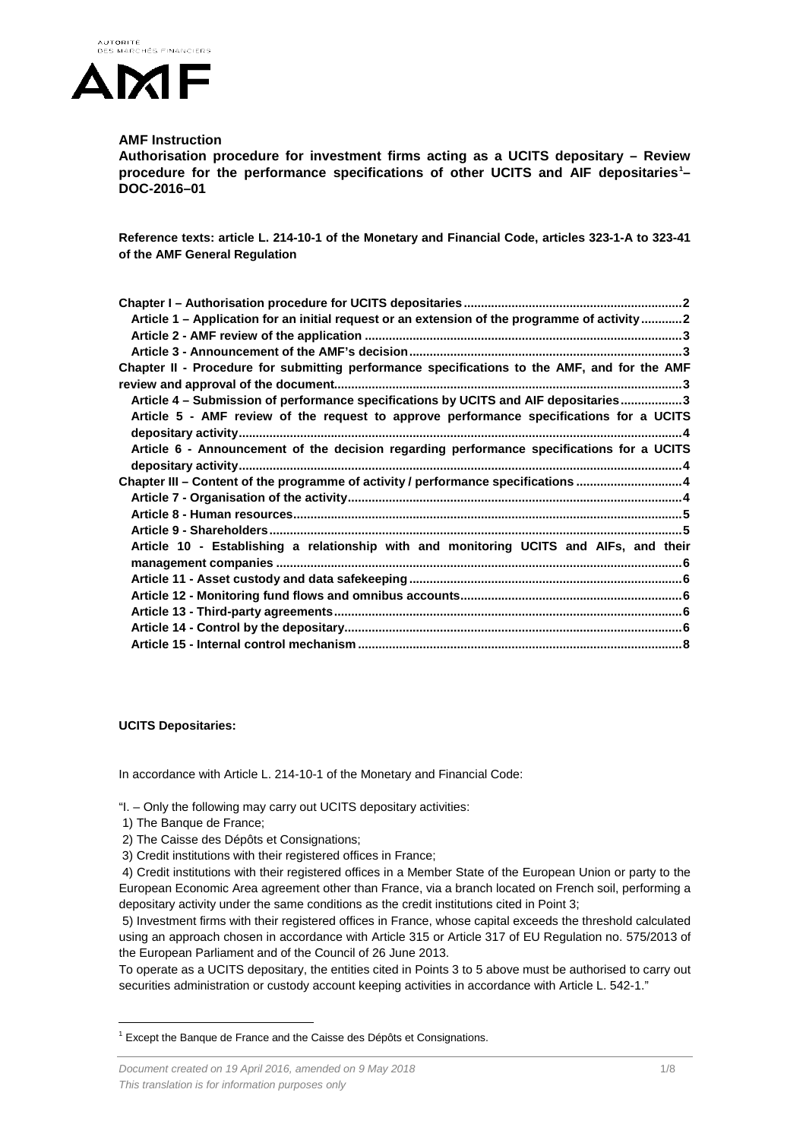

## **AMF Instruction**

**Authorisation procedure for investment firms acting as a UCITS depositary – Review procedure for the performance specifications of other UCITS and AIF depositaries[1](#page-0-0) – DOC-2016–01**

**Reference texts: article L. 214-10-1 of the Monetary and Financial Code, articles 323-1-A to 323-41 of the AMF General Regulation**

| Article 1 - Application for an initial request or an extension of the programme of activity2 |
|----------------------------------------------------------------------------------------------|
|                                                                                              |
|                                                                                              |
| Chapter II - Procedure for submitting performance specifications to the AMF, and for the AMF |
|                                                                                              |
| Article 4 - Submission of performance specifications by UCITS and AIF depositaries3          |
| Article 5 - AMF review of the request to approve performance specifications for a UCITS      |
|                                                                                              |
| Article 6 - Announcement of the decision regarding performance specifications for a UCITS    |
|                                                                                              |
| Chapter III - Content of the programme of activity / performance specifications 4            |
|                                                                                              |
|                                                                                              |
|                                                                                              |
| Article 10 - Establishing a relationship with and monitoring UCITS and AIFs, and their       |
|                                                                                              |
|                                                                                              |
|                                                                                              |
|                                                                                              |
|                                                                                              |
|                                                                                              |

**UCITS Depositaries:**

In accordance with Article L. 214-10-1 of the Monetary and Financial Code:

"I. – Only the following may carry out UCITS depositary activities:

- 1) The Banque de France;
- 2) The Caisse des Dépôts et Consignations;

3) Credit institutions with their registered offices in France;

4) Credit institutions with their registered offices in a Member State of the European Union or party to the European Economic Area agreement other than France, via a branch located on French soil, performing a depositary activity under the same conditions as the credit institutions cited in Point 3;

5) Investment firms with their registered offices in France, whose capital exceeds the threshold calculated using an approach chosen in accordance with Article 315 or Article 317 of EU Regulation no. 575/2013 of the European Parliament and of the Council of 26 June 2013.

To operate as a UCITS depositary, the entities cited in Points 3 to 5 above must be authorised to carry out securities administration or custody account keeping activities in accordance with Article L. 542-1."

<span id="page-0-0"></span> $1$  Except the Banque de France and the Caisse des Dépôts et Consignations.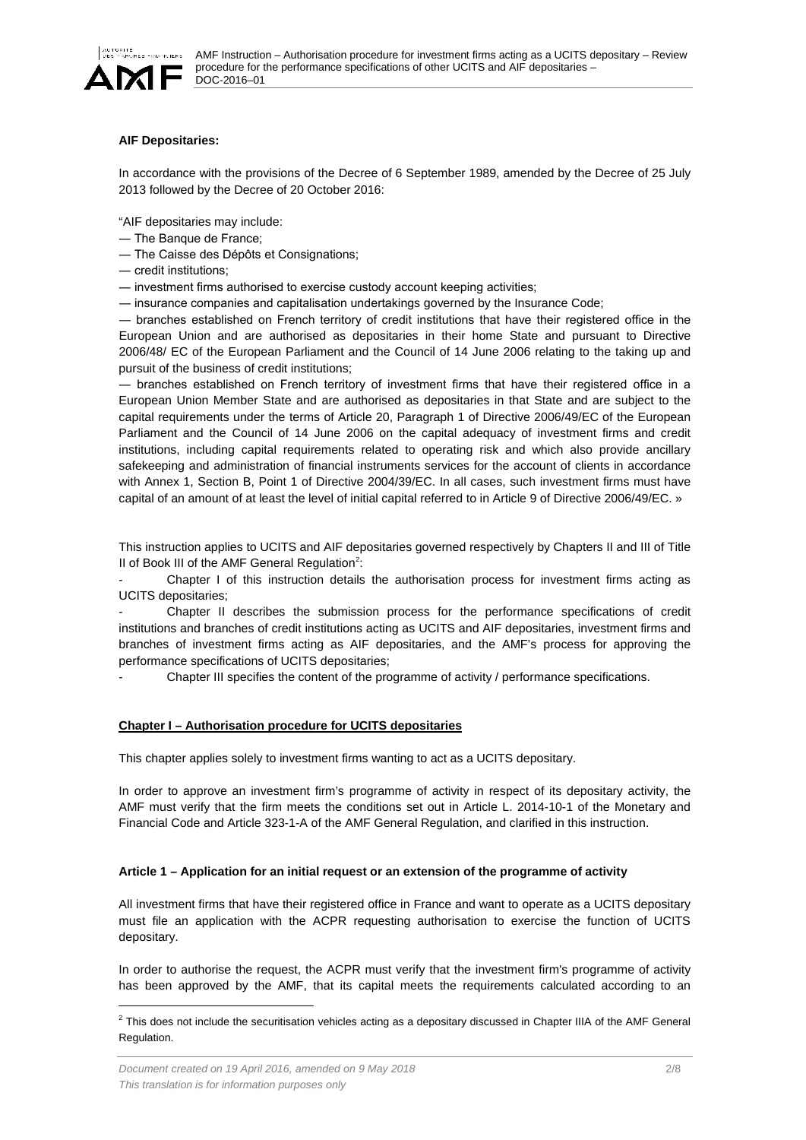

### **AIF Depositaries:**

In accordance with the provisions of the Decree of 6 September 1989, amended by the Decree of 25 July 2013 followed by the Decree of 20 October 2016:

"AIF depositaries may include:

- ― The Banque de France;
- ― The Caisse des Dépôts et Consignations;
- ― credit institutions;

― investment firms authorised to exercise custody account keeping activities;

― insurance companies and capitalisation undertakings governed by the Insurance Code;

― branches established on French territory of credit institutions that have their registered office in the European Union and are authorised as depositaries in their home State and pursuant to Directive 2006/48/ EC of the European Parliament and the Council of 14 June 2006 relating to the taking up and pursuit of the business of credit institutions;

― branches established on French territory of investment firms that have their registered office in a European Union Member State and are authorised as depositaries in that State and are subject to the capital requirements under the terms of Article 20, Paragraph 1 of Directive 2006/49/EC of the European Parliament and the Council of 14 June 2006 on the capital adequacy of investment firms and credit institutions, including capital requirements related to operating risk and which also provide ancillary safekeeping and administration of financial instruments services for the account of clients in accordance with Annex 1, Section B, Point 1 of Directive 2004/39/EC. In all cases, such investment firms must have capital of an amount of at least the level of initial capital referred to in Article 9 of Directive 2006/49/EC. »

This instruction applies to UCITS and AIF depositaries governed respectively by Chapters II and III of Title II of Book III of the AMF General Regulation<sup>[2](#page-1-2)</sup>:

Chapter I of this instruction details the authorisation process for investment firms acting as UCITS depositaries;

- Chapter II describes the submission process for the performance specifications of credit institutions and branches of credit institutions acting as UCITS and AIF depositaries, investment firms and branches of investment firms acting as AIF depositaries, and the AMF's process for approving the performance specifications of UCITS depositaries;

Chapter III specifies the content of the programme of activity / performance specifications.

#### <span id="page-1-0"></span>**Chapter I – Authorisation procedure for UCITS depositaries**

This chapter applies solely to investment firms wanting to act as a UCITS depositary.

In order to approve an investment firm's programme of activity in respect of its depositary activity, the AMF must verify that the firm meets the conditions set out in Article L. 2014-10-1 of the Monetary and Financial Code and Article 323-1-A of the AMF General Regulation, and clarified in this instruction.

#### <span id="page-1-1"></span>**Article 1 – Application for an initial request or an extension of the programme of activity**

All investment firms that have their registered office in France and want to operate as a UCITS depositary must file an application with the ACPR requesting authorisation to exercise the function of UCITS depositary.

In order to authorise the request, the ACPR must verify that the investment firm's programme of activity has been approved by the AMF, that its capital meets the requirements calculated according to an

<span id="page-1-2"></span> $2$  This does not include the securitisation vehicles acting as a depositary discussed in Chapter IIIA of the AMF General Regulation.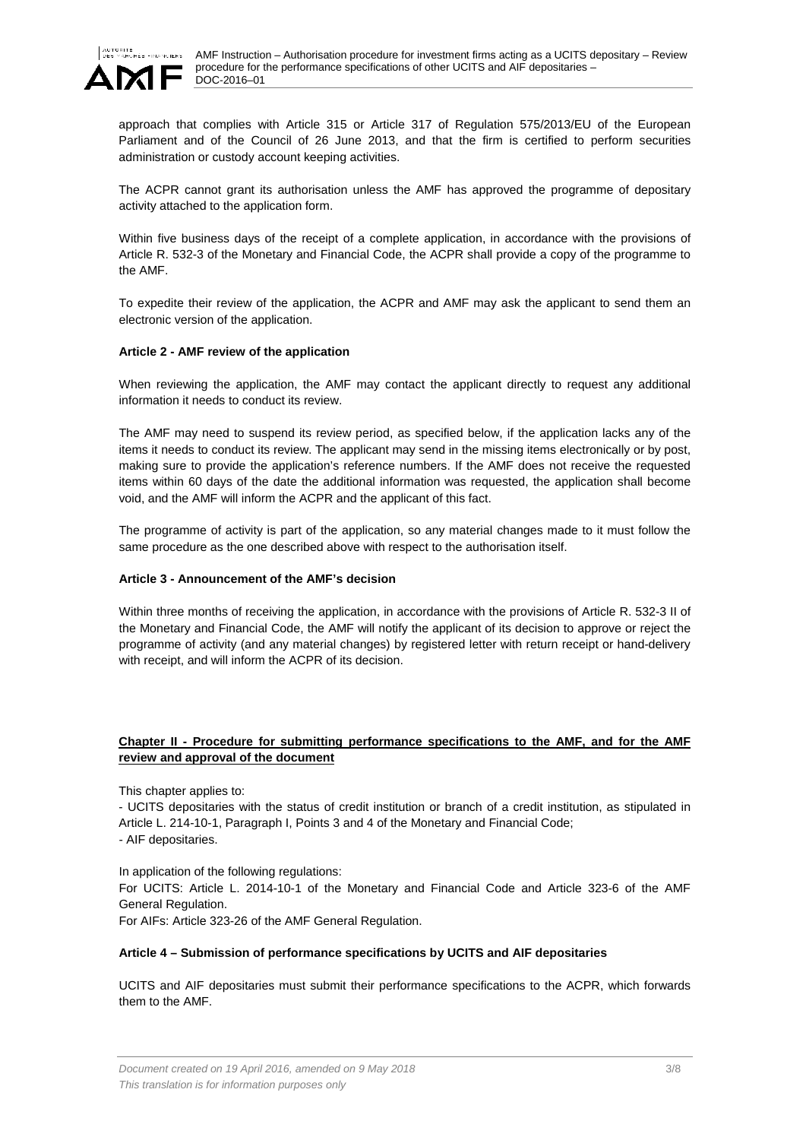

approach that complies with Article 315 or Article 317 of Regulation 575/2013/EU of the European Parliament and of the Council of 26 June 2013, and that the firm is certified to perform securities administration or custody account keeping activities.

The ACPR cannot grant its authorisation unless the AMF has approved the programme of depositary activity attached to the application form.

Within five business days of the receipt of a complete application, in accordance with the provisions of Article R. 532-3 of the Monetary and Financial Code, the ACPR shall provide a copy of the programme to the AMF.

To expedite their review of the application, the ACPR and AMF may ask the applicant to send them an electronic version of the application.

### <span id="page-2-0"></span>**Article 2 - AMF review of the application**

When reviewing the application, the AMF may contact the applicant directly to request any additional information it needs to conduct its review.

The AMF may need to suspend its review period, as specified below, if the application lacks any of the items it needs to conduct its review. The applicant may send in the missing items electronically or by post, making sure to provide the application's reference numbers. If the AMF does not receive the requested items within 60 days of the date the additional information was requested, the application shall become void, and the AMF will inform the ACPR and the applicant of this fact.

The programme of activity is part of the application, so any material changes made to it must follow the same procedure as the one described above with respect to the authorisation itself.

### <span id="page-2-1"></span>**Article 3 - Announcement of the AMF's decision**

Within three months of receiving the application, in accordance with the provisions of Article R. 532-3 II of the Monetary and Financial Code, the AMF will notify the applicant of its decision to approve or reject the programme of activity (and any material changes) by registered letter with return receipt or hand-delivery with receipt, and will inform the ACPR of its decision.

#### <span id="page-2-2"></span>**Chapter II - Procedure for submitting performance specifications to the AMF, and for the AMF review and approval of the document**

This chapter applies to:

- UCITS depositaries with the status of credit institution or branch of a credit institution, as stipulated in Article L. 214-10-1, Paragraph I, Points 3 and 4 of the Monetary and Financial Code; - AIF depositaries.

In application of the following regulations:

For UCITS: Article L. 2014-10-1 of the Monetary and Financial Code and Article 323-6 of the AMF General Regulation.

For AIFs: Article 323-26 of the AMF General Regulation.

#### <span id="page-2-3"></span>**Article 4 – Submission of performance specifications by UCITS and AIF depositaries**

UCITS and AIF depositaries must submit their performance specifications to the ACPR, which forwards them to the AMF.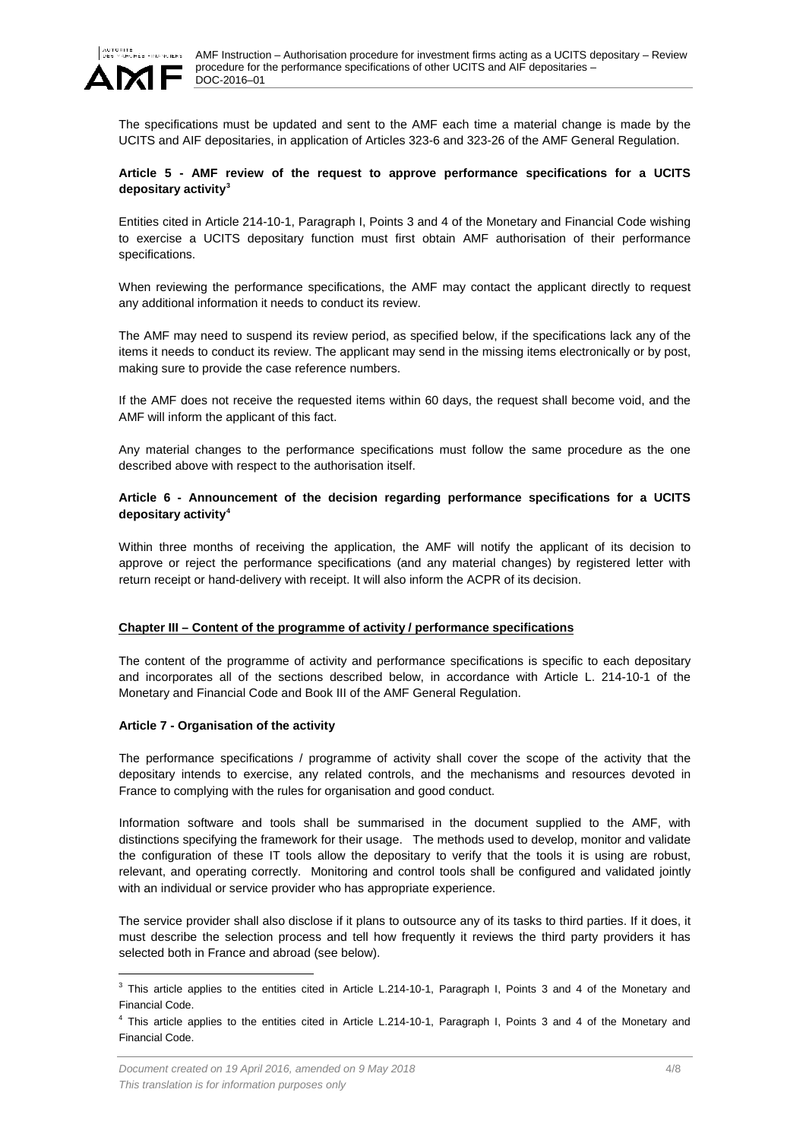

The specifications must be updated and sent to the AMF each time a material change is made by the UCITS and AIF depositaries, in application of Articles 323-6 and 323-26 of the AMF General Regulation.

## <span id="page-3-0"></span>**Article 5 - AMF review of the request to approve performance specifications for a UCITS depositary activity[3](#page-3-4)**

Entities cited in Article 214-10-1, Paragraph I, Points 3 and 4 of the Monetary and Financial Code wishing to exercise a UCITS depositary function must first obtain AMF authorisation of their performance specifications.

When reviewing the performance specifications, the AMF may contact the applicant directly to request any additional information it needs to conduct its review.

The AMF may need to suspend its review period, as specified below, if the specifications lack any of the items it needs to conduct its review. The applicant may send in the missing items electronically or by post, making sure to provide the case reference numbers.

If the AMF does not receive the requested items within 60 days, the request shall become void, and the AMF will inform the applicant of this fact.

Any material changes to the performance specifications must follow the same procedure as the one described above with respect to the authorisation itself.

### <span id="page-3-1"></span>**Article 6 - Announcement of the decision regarding performance specifications for a UCITS depositary activity[4](#page-3-5)**

Within three months of receiving the application, the AMF will notify the applicant of its decision to approve or reject the performance specifications (and any material changes) by registered letter with return receipt or hand-delivery with receipt. It will also inform the ACPR of its decision.

### <span id="page-3-2"></span>**Chapter III – Content of the programme of activity / performance specifications**

The content of the programme of activity and performance specifications is specific to each depositary and incorporates all of the sections described below, in accordance with Article L. 214-10-1 of the Monetary and Financial Code and Book III of the AMF General Regulation.

### <span id="page-3-3"></span>**Article 7 - Organisation of the activity**

The performance specifications / programme of activity shall cover the scope of the activity that the depositary intends to exercise, any related controls, and the mechanisms and resources devoted in France to complying with the rules for organisation and good conduct.

Information software and tools shall be summarised in the document supplied to the AMF, with distinctions specifying the framework for their usage. The methods used to develop, monitor and validate the configuration of these IT tools allow the depositary to verify that the tools it is using are robust, relevant, and operating correctly. Monitoring and control tools shall be configured and validated jointly with an individual or service provider who has appropriate experience.

The service provider shall also disclose if it plans to outsource any of its tasks to third parties. If it does, it must describe the selection process and tell how frequently it reviews the third party providers it has selected both in France and abroad (see below).

<span id="page-3-4"></span> $3$  This article applies to the entities cited in Article L.214-10-1, Paragraph I, Points 3 and 4 of the Monetary and Financial Code.

<span id="page-3-5"></span><sup>4</sup> This article applies to the entities cited in Article L.214-10-1, Paragraph I, Points 3 and 4 of the Monetary and Financial Code.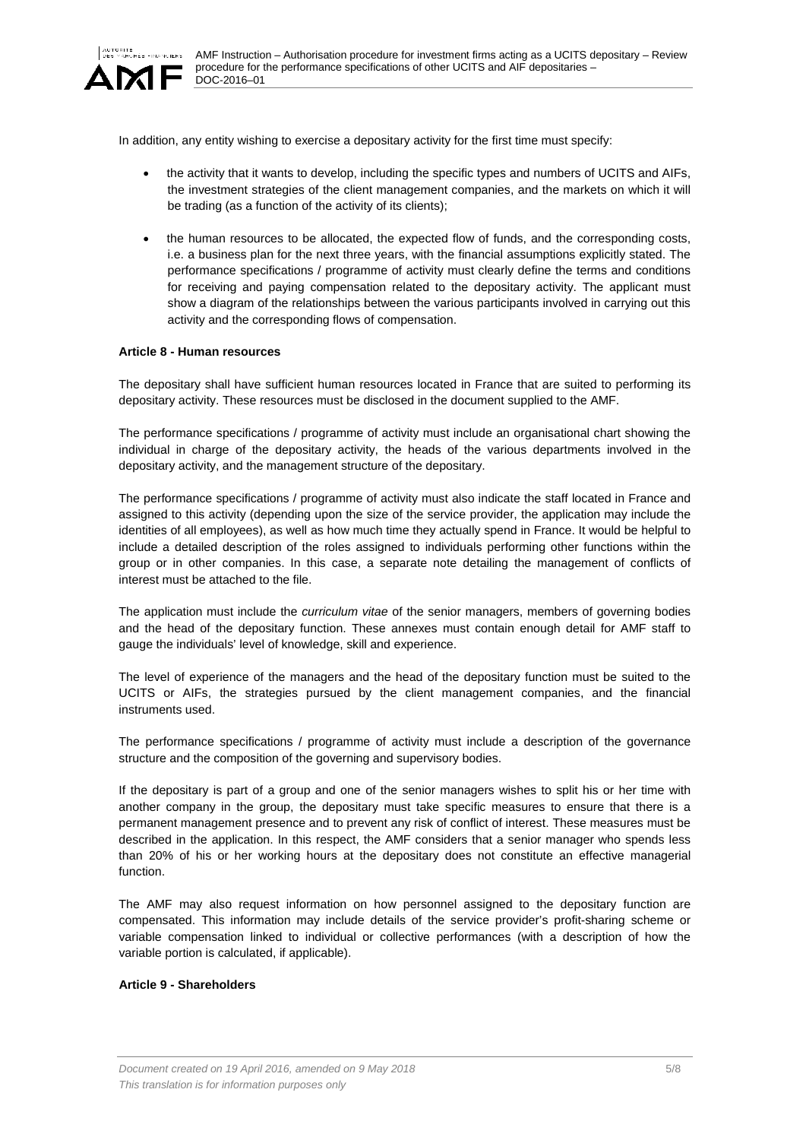

In addition, any entity wishing to exercise a depositary activity for the first time must specify:

- the activity that it wants to develop, including the specific types and numbers of UCITS and AIFs, the investment strategies of the client management companies, and the markets on which it will be trading (as a function of the activity of its clients);
- the human resources to be allocated, the expected flow of funds, and the corresponding costs, i.e. a business plan for the next three years, with the financial assumptions explicitly stated. The performance specifications / programme of activity must clearly define the terms and conditions for receiving and paying compensation related to the depositary activity. The applicant must show a diagram of the relationships between the various participants involved in carrying out this activity and the corresponding flows of compensation.

### <span id="page-4-0"></span>**Article 8 - Human resources**

The depositary shall have sufficient human resources located in France that are suited to performing its depositary activity. These resources must be disclosed in the document supplied to the AMF.

The performance specifications / programme of activity must include an organisational chart showing the individual in charge of the depositary activity, the heads of the various departments involved in the depositary activity, and the management structure of the depositary.

The performance specifications / programme of activity must also indicate the staff located in France and assigned to this activity (depending upon the size of the service provider, the application may include the identities of all employees), as well as how much time they actually spend in France. It would be helpful to include a detailed description of the roles assigned to individuals performing other functions within the group or in other companies. In this case, a separate note detailing the management of conflicts of interest must be attached to the file.

The application must include the *curriculum vitae* of the senior managers, members of governing bodies and the head of the depositary function. These annexes must contain enough detail for AMF staff to gauge the individuals' level of knowledge, skill and experience.

The level of experience of the managers and the head of the depositary function must be suited to the UCITS or AIFs, the strategies pursued by the client management companies, and the financial instruments used.

The performance specifications / programme of activity must include a description of the governance structure and the composition of the governing and supervisory bodies.

If the depositary is part of a group and one of the senior managers wishes to split his or her time with another company in the group, the depositary must take specific measures to ensure that there is a permanent management presence and to prevent any risk of conflict of interest. These measures must be described in the application. In this respect, the AMF considers that a senior manager who spends less than 20% of his or her working hours at the depositary does not constitute an effective managerial function.

The AMF may also request information on how personnel assigned to the depositary function are compensated. This information may include details of the service provider's profit-sharing scheme or variable compensation linked to individual or collective performances (with a description of how the variable portion is calculated, if applicable).

#### <span id="page-4-1"></span>**Article 9 - Shareholders**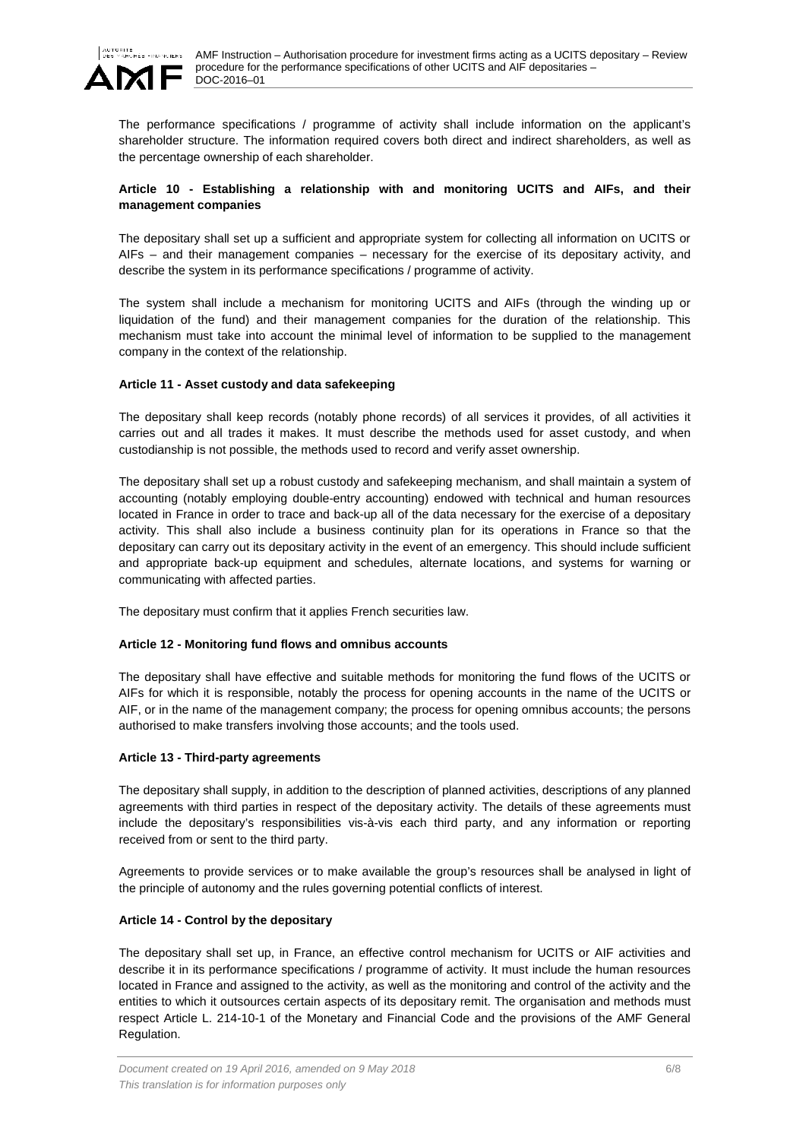

The performance specifications / programme of activity shall include information on the applicant's shareholder structure. The information required covers both direct and indirect shareholders, as well as the percentage ownership of each shareholder.

## <span id="page-5-0"></span>**Article 10 - Establishing a relationship with and monitoring UCITS and AIFs, and their management companies**

The depositary shall set up a sufficient and appropriate system for collecting all information on UCITS or AIFs – and their management companies – necessary for the exercise of its depositary activity, and describe the system in its performance specifications / programme of activity.

The system shall include a mechanism for monitoring UCITS and AIFs (through the winding up or liquidation of the fund) and their management companies for the duration of the relationship. This mechanism must take into account the minimal level of information to be supplied to the management company in the context of the relationship.

### <span id="page-5-1"></span>**Article 11 - Asset custody and data safekeeping**

The depositary shall keep records (notably phone records) of all services it provides, of all activities it carries out and all trades it makes. It must describe the methods used for asset custody, and when custodianship is not possible, the methods used to record and verify asset ownership.

The depositary shall set up a robust custody and safekeeping mechanism, and shall maintain a system of accounting (notably employing double-entry accounting) endowed with technical and human resources located in France in order to trace and back-up all of the data necessary for the exercise of a depositary activity. This shall also include a business continuity plan for its operations in France so that the depositary can carry out its depositary activity in the event of an emergency. This should include sufficient and appropriate back-up equipment and schedules, alternate locations, and systems for warning or communicating with affected parties.

The depositary must confirm that it applies French securities law.

### <span id="page-5-2"></span>**Article 12 - Monitoring fund flows and omnibus accounts**

The depositary shall have effective and suitable methods for monitoring the fund flows of the UCITS or AIFs for which it is responsible, notably the process for opening accounts in the name of the UCITS or AIF, or in the name of the management company; the process for opening omnibus accounts; the persons authorised to make transfers involving those accounts; and the tools used.

# <span id="page-5-3"></span>**Article 13 - Third-party agreements**

The depositary shall supply, in addition to the description of planned activities, descriptions of any planned agreements with third parties in respect of the depositary activity. The details of these agreements must include the depositary's responsibilities vis-à-vis each third party, and any information or reporting received from or sent to the third party.

Agreements to provide services or to make available the group's resources shall be analysed in light of the principle of autonomy and the rules governing potential conflicts of interest.

# <span id="page-5-4"></span>**Article 14 - Control by the depositary**

The depositary shall set up, in France, an effective control mechanism for UCITS or AIF activities and describe it in its performance specifications / programme of activity. It must include the human resources located in France and assigned to the activity, as well as the monitoring and control of the activity and the entities to which it outsources certain aspects of its depositary remit. The organisation and methods must respect Article L. 214-10-1 of the Monetary and Financial Code and the provisions of the AMF General Regulation.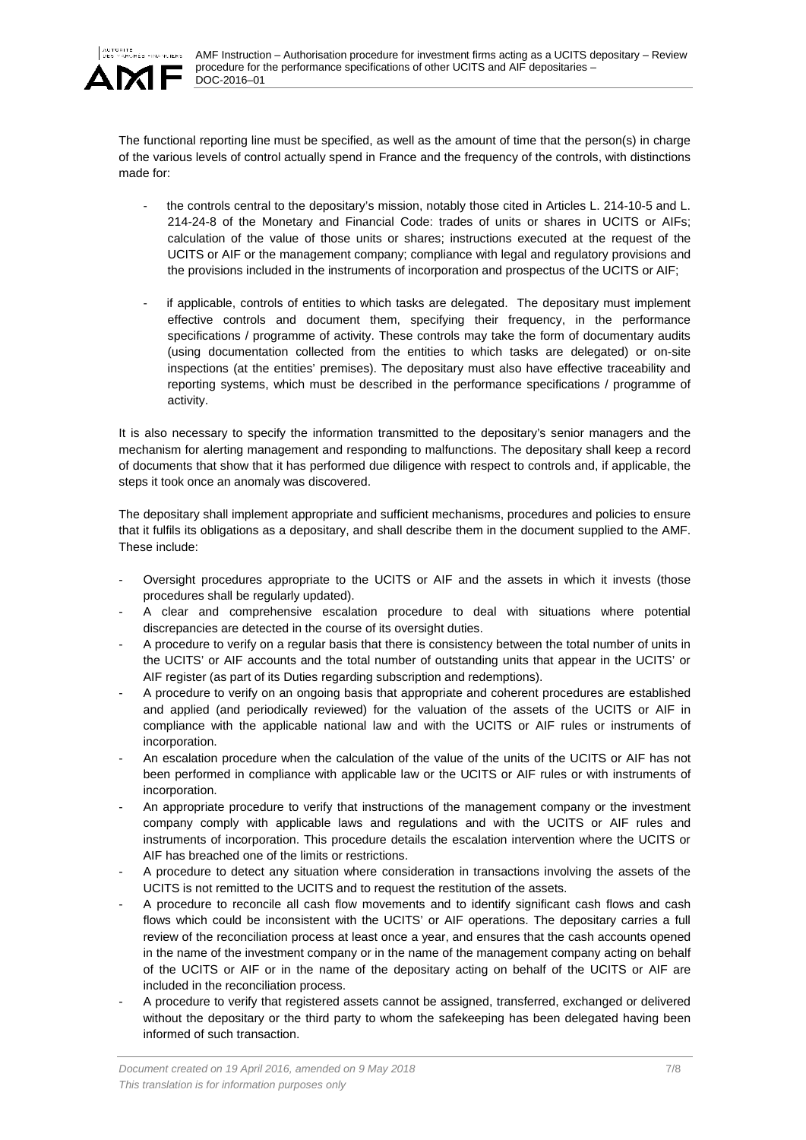

The functional reporting line must be specified, as well as the amount of time that the person(s) in charge of the various levels of control actually spend in France and the frequency of the controls, with distinctions made for:

- the controls central to the depositary's mission, notably those cited in Articles L. 214-10-5 and L. 214-24-8 of the Monetary and Financial Code: trades of units or shares in UCITS or AIFs; calculation of the value of those units or shares; instructions executed at the request of the UCITS or AIF or the management company; compliance with legal and regulatory provisions and the provisions included in the instruments of incorporation and prospectus of the UCITS or AIF;
- if applicable, controls of entities to which tasks are delegated. The depositary must implement effective controls and document them, specifying their frequency, in the performance specifications / programme of activity. These controls may take the form of documentary audits (using documentation collected from the entities to which tasks are delegated) or on-site inspections (at the entities' premises). The depositary must also have effective traceability and reporting systems, which must be described in the performance specifications / programme of activity.

It is also necessary to specify the information transmitted to the depositary's senior managers and the mechanism for alerting management and responding to malfunctions. The depositary shall keep a record of documents that show that it has performed due diligence with respect to controls and, if applicable, the steps it took once an anomaly was discovered.

The depositary shall implement appropriate and sufficient mechanisms, procedures and policies to ensure that it fulfils its obligations as a depositary, and shall describe them in the document supplied to the AMF. These include:

- Oversight procedures appropriate to the UCITS or AIF and the assets in which it invests (those procedures shall be regularly updated).
- A clear and comprehensive escalation procedure to deal with situations where potential discrepancies are detected in the course of its oversight duties.
- A procedure to verify on a regular basis that there is consistency between the total number of units in the UCITS' or AIF accounts and the total number of outstanding units that appear in the UCITS' or AIF register (as part of its Duties regarding subscription and redemptions).
- A procedure to verify on an ongoing basis that appropriate and coherent procedures are established and applied (and periodically reviewed) for the valuation of the assets of the UCITS or AIF in compliance with the applicable national law and with the UCITS or AIF rules or instruments of incorporation.
- An escalation procedure when the calculation of the value of the units of the UCITS or AIF has not been performed in compliance with applicable law or the UCITS or AIF rules or with instruments of incorporation.
- An appropriate procedure to verify that instructions of the management company or the investment company comply with applicable laws and regulations and with the UCITS or AIF rules and instruments of incorporation. This procedure details the escalation intervention where the UCITS or AIF has breached one of the limits or restrictions.
- A procedure to detect any situation where consideration in transactions involving the assets of the UCITS is not remitted to the UCITS and to request the restitution of the assets.
- A procedure to reconcile all cash flow movements and to identify significant cash flows and cash flows which could be inconsistent with the UCITS' or AIF operations. The depositary carries a full review of the reconciliation process at least once a year, and ensures that the cash accounts opened in the name of the investment company or in the name of the management company acting on behalf of the UCITS or AIF or in the name of the depositary acting on behalf of the UCITS or AIF are included in the reconciliation process.
- A procedure to verify that registered assets cannot be assigned, transferred, exchanged or delivered without the depositary or the third party to whom the safekeeping has been delegated having been informed of such transaction.